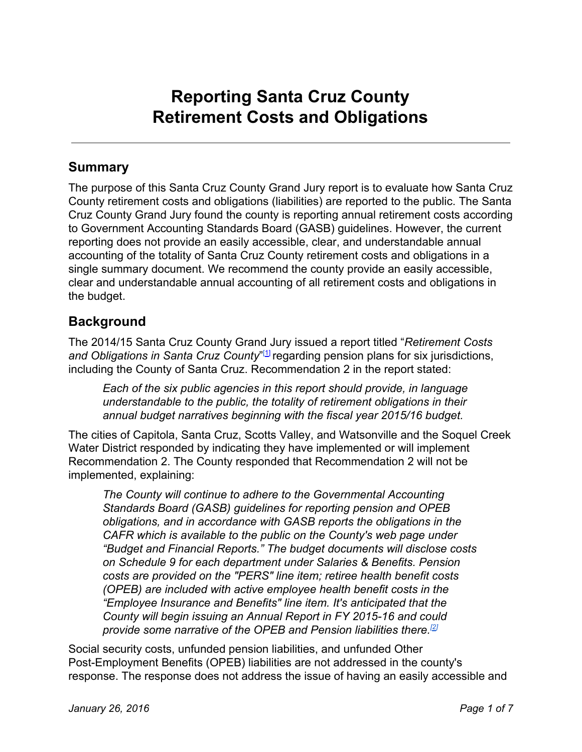# **Reporting Santa Cruz County Retirement Costs and Obligations**

### **Summary**

The purpose of this Santa Cruz County Grand Jury report is to evaluate how Santa Cruz County retirement costs and obligations (liabilities) are reported to the public. The Santa Cruz County Grand Jury found the county is reporting annual retirement costs according to Government Accounting Standards Board (GASB) guidelines. However, the current reporting does not provide an easily accessible, clear, and understandable annual accounting of the totality of Santa Cruz County retirement costs and obligations in a single summary document. We recommend the county provide an easily accessible, clear and understandable annual accounting of all retirement costs and obligations in the budget.

# **Background**

The 2014/15 Santa Cruz County Grand Jury issued a report titled "*Retirement Costs and Obligations in Santa Cruz County*" [\[1\]](http://www.co.santa-cruz.ca.us/Portals/0/County/GrandJury/GJ2015_final/FundedForTheFuture.pdf) regarding pension plans for six jurisdictions, including the County of Santa Cruz. Recommendation 2 in the report stated:

*Each of the six public agencies in this report should provide, in language understandable to the public, the totality of retirement obligations in their annual budget narratives beginning with the fiscal year 2015/16 budget.*

The cities of Capitola, Santa Cruz, Scotts Valley, and Watsonville and the Soquel Creek Water District responded by indicating they have implemented or will implement Recommendation 2. The County responded that Recommendation 2 will not be implemented, explaining:

*The County will continue to adhere to the Governmental Accounting Standards Board (GASB) guidelines for reporting pension and OPEB obligations, and in accordance with GASB reports the obligations in the CAFR which is available to the public on the County's web page under "Budget and Financial Reports." The budget documents will disclose costs on Schedule 9 for each department under Salaries & Benefits. Pension costs are provided on the "PERS" line item; retiree health benefit costs (OPEB) are included with active employee health benefit costs in the "Employee Insurance and Benefits" line item. It's anticipated that the County will begin issuing an Annual Report in FY 201516 and could provide some narrative of the OPEB and Pension liabilities there. [\[2\]](http://www.co.santa-cruz.ca.us/Portals/0/County/GrandJury/GJ2015_final/FFTF_SCCBoS.pdf#page=8)*

Social security costs, unfunded pension liabilities, and unfunded Other Post-Employment Benefits (OPEB) liabilities are not addressed in the county's response. The response does not address the issue of having an easily accessible and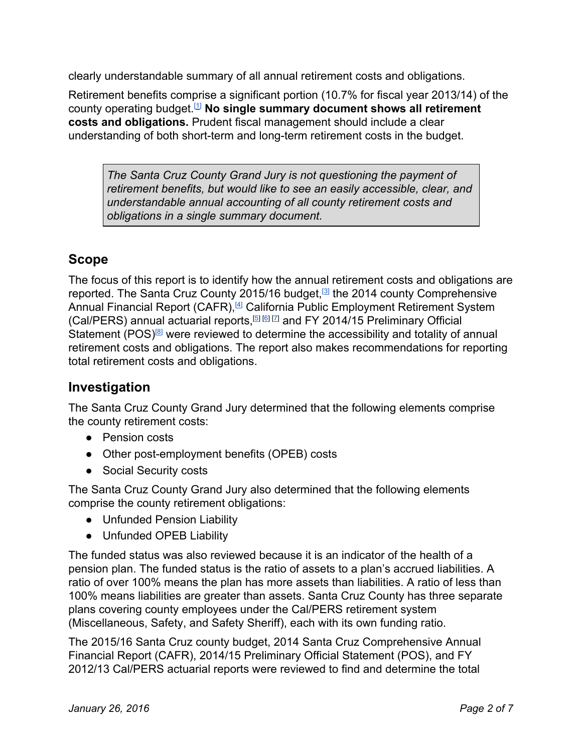clearly understandable summary of all annual retirement costs and obligations.

Retirement benefits comprise a significant portion (10.7% for fiscal year 2013/14) of the county operating budget. [\[1\]](http://www.co.santa-cruz.ca.us/Portals/0/County/GrandJury/GJ2015_final/FundedForTheFuture.pdf#page=28) **No single summary document shows all retirement costs and obligations.**Prudent fiscal management should include a clear understanding of both short-term and long-term retirement costs in the budget.

*The Santa Cruz County Grand Jury is not questioning the payment of retirement benefits, but would like to see an easily accessible, clear, and understandable annual accounting of all county retirement costs and obligations in a single summary document.*

# **Scope**

The focus of this report is to identify how the annual retirement costs and obligations are reported. The Santa Cruz County 2015/16 budget,<sup>[\[3\]](http://sccounty01.co.santa-cruz.ca.us/prop_budget2015-16/Proposed_Budget_2015-2016.pdf)</sup> the 2014 county Comprehensive Annual Financial Report (CAFR),<sup>[\[4\]](http://www.co.santa-cruz.ca.us/Portals/0/County/auditor/cafr14/CAFR_2014.pdf#page=112)</sup> California Public Employment Retirement System (Cal/PERS) annual actuarial reports, $[5 \times 5]$  $[5 \times 5]$  and FY 2014/15 Preliminary Official Statement (POS)<sup>®</sup> were reviewed to determine the accessibility and totality of annual retirement costs and obligations. The report also makes recommendations for reporting total retirement costs and obligations.

# **Investigation**

The Santa Cruz County Grand Jury determined that the following elements comprise the county retirement costs:

- Pension costs
- Other post-employment benefits (OPEB) costs
- Social Security costs

The Santa Cruz County Grand Jury also determined that the following elements comprise the county retirement obligations:

- Unfunded Pension Liability
- Unfunded OPEB Liability

The funded status was also reviewed because it is an indicator of the health of a pension plan. The funded status is the ratio of assets to a plan's accrued liabilities. A ratio of over 100% means the plan has more assets than liabilities. A ratio of less than 100% means liabilities are greater than assets. Santa Cruz County has three separate plans covering county employees under the Cal/PERS retirement system (Miscellaneous, Safety, and Safety Sheriff), each with its own funding ratio.

The 2015/16 Santa Cruz county budget, 2014 Santa Cruz Comprehensive Annual Financial Report (CAFR), 2014/15 Preliminary Official Statement (POS), and FY 2012/13 Cal/PERS actuarial reports were reviewed to find and determine the total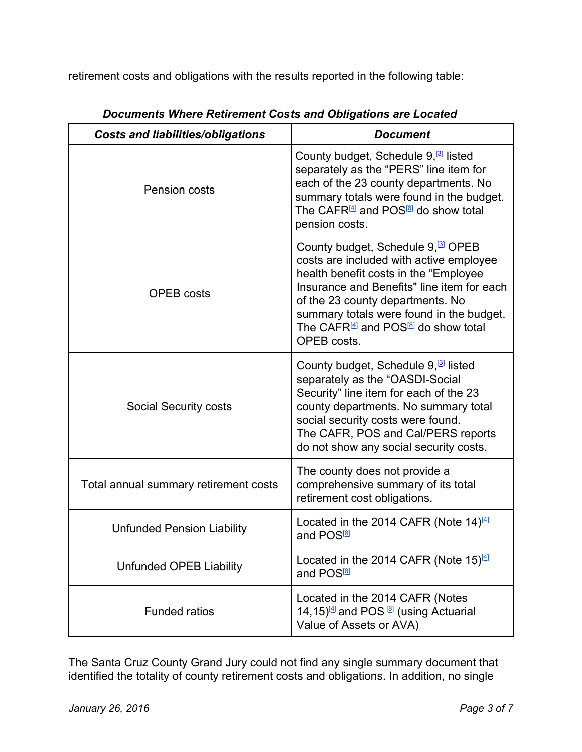retirement costs and obligations with the results reported in the following table:

| <b>Costs and liabilities/obligations</b> | <b>Document</b>                                                                                                                                                                                                                                                                                                                               |  |  |
|------------------------------------------|-----------------------------------------------------------------------------------------------------------------------------------------------------------------------------------------------------------------------------------------------------------------------------------------------------------------------------------------------|--|--|
| Pension costs                            | County budget, Schedule 9, <sup>[3]</sup> listed<br>separately as the "PERS" line item for<br>each of the 23 county departments. No<br>summary totals were found in the budget.<br>The CAFR <sup>[4]</sup> and POS <sup>[8]</sup> do show total<br>pension costs.                                                                             |  |  |
| <b>OPEB</b> costs                        | County budget, Schedule 9, <sup>3</sup> OPEB<br>costs are included with active employee<br>health benefit costs in the "Employee<br>Insurance and Benefits" line item for each<br>of the 23 county departments. No<br>summary totals were found in the budget.<br>The CAFR <sup>[4]</sup> and POS <sup>[8]</sup> do show total<br>OPEB costs. |  |  |
| <b>Social Security costs</b>             | County budget, Schedule 9, <sup>3</sup> listed<br>separately as the "OASDI-Social<br>Security" line item for each of the 23<br>county departments. No summary total<br>social security costs were found.<br>The CAFR, POS and Cal/PERS reports<br>do not show any social security costs.                                                      |  |  |
| Total annual summary retirement costs    | The county does not provide a<br>comprehensive summary of its total<br>retirement cost obligations.                                                                                                                                                                                                                                           |  |  |
| <b>Unfunded Pension Liability</b>        | Located in the 2014 CAFR (Note 14) <sup>[4]</sup><br>and POS <sup>®</sup>                                                                                                                                                                                                                                                                     |  |  |
| <b>Unfunded OPEB Liability</b>           | Located in the 2014 CAFR (Note $15)^{4}$<br>and POS <sup>®</sup>                                                                                                                                                                                                                                                                              |  |  |
| <b>Funded ratios</b>                     | Located in the 2014 CAFR (Notes<br>14,15) <sup>[4]</sup> and POS <sup>[8]</sup> (using Actuarial<br>Value of Assets or AVA)                                                                                                                                                                                                                   |  |  |

*Documents Where Retirement Costs and Obligations are Located*

The Santa Cruz County Grand Jury could not find any single summary document that identified the totality of county retirement costs and obligations. In addition, no single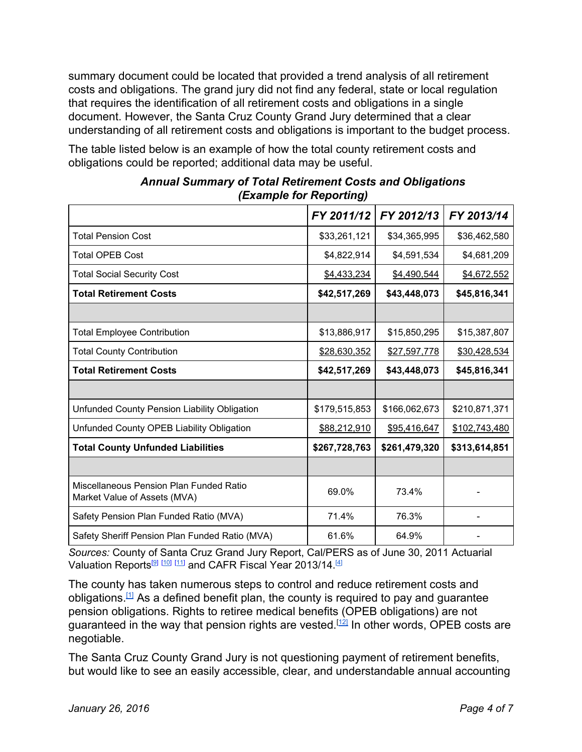summary document could be located that provided a trend analysis of all retirement costs and obligations. The grand jury did not find any federal, state or local regulation that requires the identification of all retirement costs and obligations in a single document. However, the Santa Cruz County Grand Jury determined that a clear understanding of all retirement costs and obligations is important to the budget process.

The table listed below is an example of how the total county retirement costs and obligations could be reported; additional data may be useful.

|                                                                         | FY 2011/12    | FY 2012/13    | FY 2013/14    |
|-------------------------------------------------------------------------|---------------|---------------|---------------|
| <b>Total Pension Cost</b>                                               | \$33,261,121  | \$34,365,995  | \$36,462,580  |
| <b>Total OPEB Cost</b>                                                  | \$4,822,914   | \$4,591,534   | \$4,681,209   |
| <b>Total Social Security Cost</b>                                       | \$4,433,234   | \$4,490,544   | \$4,672,552   |
| <b>Total Retirement Costs</b>                                           | \$42,517,269  | \$43,448,073  | \$45,816,341  |
|                                                                         |               |               |               |
| <b>Total Employee Contribution</b>                                      | \$13,886,917  | \$15,850,295  | \$15,387,807  |
| <b>Total County Contribution</b>                                        | \$28,630,352  | \$27,597,778  | \$30,428,534  |
| <b>Total Retirement Costs</b>                                           | \$42,517,269  | \$43,448,073  | \$45,816,341  |
|                                                                         |               |               |               |
| Unfunded County Pension Liability Obligation                            | \$179,515,853 | \$166,062,673 | \$210,871,371 |
| Unfunded County OPEB Liability Obligation                               | \$88,212,910  | \$95,416,647  | \$102,743,480 |
| <b>Total County Unfunded Liabilities</b>                                | \$267,728,763 | \$261,479,320 | \$313,614,851 |
|                                                                         |               |               |               |
| Miscellaneous Pension Plan Funded Ratio<br>Market Value of Assets (MVA) | 69.0%         | 73.4%         |               |
| Safety Pension Plan Funded Ratio (MVA)                                  | 71.4%         | 76.3%         |               |
| Safety Sheriff Pension Plan Funded Ratio (MVA)                          | 61.6%         | 64.9%         |               |

*Annual Summary of Total Retirement Costs and Obligations (Example for Reporting)*

*Sources:* County of Santa Cruz Grand Jury Report, Cal/PERS as of June 30, 2011 Actuarial Valuation Reports $^{\textcircled{\tiny{[3]}}\text{ [11]}}$  $^{\textcircled{\tiny{[3]}}\text{ [11]}}$  $^{\textcircled{\tiny{[3]}}\text{ [11]}}$  and CAFR Fiscal Year 2013/14.<sup>[\[4\]](http://www.co.santa-cruz.ca.us/Portals/0/County/auditor/cafr14/CAFR_2014.pdf)</sup>

The county has taken numerous steps to control and reduce retirement costs and obligations.<sup>[\[1\]](http://www.co.santa-cruz.ca.us/Portals/0/County/GrandJury/GJ2015_final/FundedForTheFuture.pdf#page=36)</sup> As a defined benefit plan, the county is required to pay and guarantee pension obligations. Rights to retiree medical benefits (OPEB obligations) are not guaranteed in the way that pension rights are vested.<sup>[\[12\]](http://www.nbcsandiego.com/news/local/City-Can-Change-Retiree-Health-Benefits-CA-Supreme-Court-258047741.html)</sup> In other words, OPEB costs are negotiable.

The Santa Cruz County Grand Jury is not questioning payment of retirement benefits, but would like to see an easily accessible, clear, and understandable annual accounting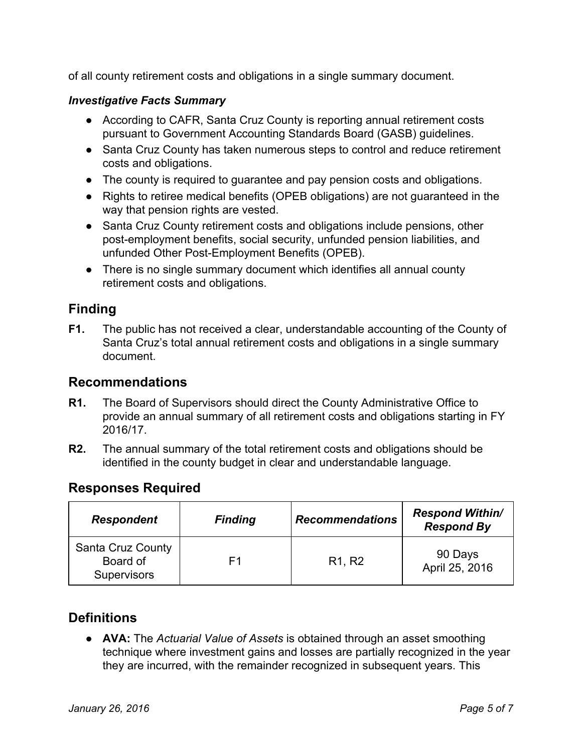of all county retirement costs and obligations in a single summary document.

#### *Investigative Facts Summary*

- According to CAFR, Santa Cruz County is reporting annual retirement costs pursuant to Government Accounting Standards Board (GASB) guidelines.
- Santa Cruz County has taken numerous steps to control and reduce retirement costs and obligations.
- The county is required to guarantee and pay pension costs and obligations.
- Rights to retiree medical benefits (OPEB obligations) are not guaranteed in the way that pension rights are vested.
- Santa Cruz County retirement costs and obligations include pensions, other post-employment benefits, social security, unfunded pension liabilities, and unfunded Other Post-Employment Benefits (OPEB).
- There is no single summary document which identifies all annual county retirement costs and obligations.

# **Finding**

**F1.** The public has not received a clear, understandable accounting of the County of Santa Cruz's total annual retirement costs and obligations in a single summary document.

### **Recommendations**

- **R1.** The Board of Supervisors should direct the County Administrative Office to provide an annual summary of all retirement costs and obligations starting in FY 2016/17.
- **R2.** The annual summary of the total retirement costs and obligations should be identified in the county budget in clear and understandable language.

#### **Responses Required**

| <b>Respondent</b>                                   | <b>Finding</b> | <b>Recommendations</b>          | <b>Respond Within/</b><br><b>Respond By</b> |
|-----------------------------------------------------|----------------|---------------------------------|---------------------------------------------|
| Santa Cruz County<br>Board of<br><b>Supervisors</b> | F1             | R <sub>1</sub> , R <sub>2</sub> | 90 Days<br>April 25, 2016                   |

# **Definitions**

● **AVA:**The *Actuarial Value of Assets* is obtained through an asset smoothing technique where investment gains and losses are partially recognized in the year they are incurred, with the remainder recognized in subsequent years. This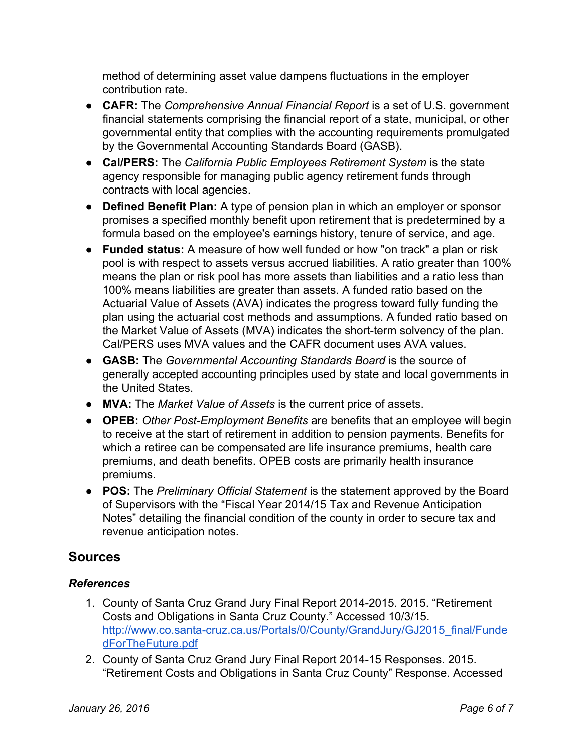method of determining asset value dampens fluctuations in the employer contribution rate.

- **CAFR:**The *Comprehensive Annual Financial Report* is a set of U.S[.](https://en.wikipedia.org/wiki/Government_financial_statements) government financial statements comprising the financial report of a state, municipal, or other governmental entity that complies with the accounting requirements promulgated by the Governmental Accounting Standards Board (GASB).
- **Cal/PERS:**The *California Public Employees Retirement System* is the state agency responsible for managing public agency retirement funds through contracts with local agencies.
- **Defined Benefit Plan:** A type of pension plan in which an employer or sponsor promises a specified monthly benefit upon retirement that is predetermined by a formula based on the employee's earnings history, tenure of service, and age.
- **Funded status:** A measure of how well funded or how "on track" a plan or risk pool is with respect to assets versus accrued liabilities. A ratio greater than 100% means the plan or risk pool has more assets than liabilities and a ratio less than 100% means liabilities are greater than assets. A funded ratio based on the Actuarial Value of Assets (AVA) indicates the progress toward fully funding the plan using the actuarial cost methods and assumptions. A funded ratio based on the Market Value of Assets (MVA) indicates the short-term solvency of the plan. Cal/PERS uses MVA values and the CAFR document uses AVA values.
- **GASB:**The *Governmental Accounting Standards Board* is the source of generally accepted accounting principles used by state and local governments in th[e](https://en.wikipedia.org/wiki/United_States) United States.
- **MVA:**The *Market Value of Assets* is the current price of assets.
- **OPEB:** Other Post-Employment Benefits are benefits that an employee will begin to receive at the start of retirement in addition to pension payments. Benefits for which a retiree can be compensated are life insurance premiums, health care premiums, and death benefits. OPEB costs are primarily health insurance premiums.
- **POS:**The *Preliminary Official Statement* is the statement approved by the Board of Supervisors with the "Fiscal Year 2014/15 Tax and Revenue Anticipation Notes" detailing the financial condition of the county in order to secure tax and revenue anticipation notes.

# **Sources**

#### *References*

- 1. County of Santa Cruz Grand Jury Final Report 2014-2015. 2015. "Retirement Costs and Obligations in Santa Cruz County." Accessed 10/3/15. http://www.co.santa-cruz.ca.us/Portals/0/County/GrandJury/GJ2015\_final/Funde [dForTheFuture.pdf](http://www.co.santa-cruz.ca.us/Portals/0/County/GrandJury/GJ2015_final/FundedForTheFuture.pdf)
- 2. County of Santa Cruz Grand Jury Final Report 2014-15 Responses. 2015. "Retirement Costs and Obligations in Santa Cruz County" Response. Accessed